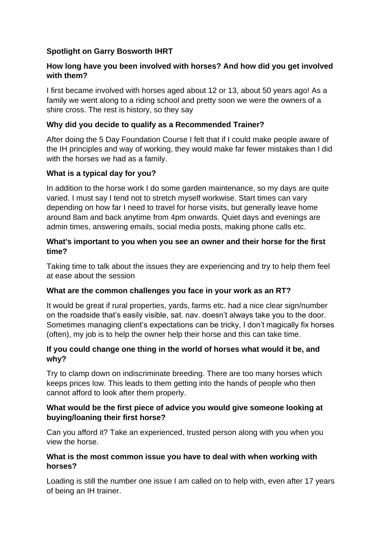# **Spotlight on Garry Bosworth IHRT**

## **How long have you been involved with horses? And how did you get involved with them?**

I first became involved with horses aged about 12 or 13, about 50 years ago! As a family we went along to a riding school and pretty soon we were the owners of a shire cross. The rest is history, so they say

## **Why did you decide to qualify as a Recommended Trainer?**

After doing the 5 Day Foundation Course I felt that if I could make people aware of the IH principles and way of working, they would make far fewer mistakes than I did with the horses we had as a family.

## **What is a typical day for you?**

In addition to the horse work I do some garden maintenance, so my days are quite varied. I must say I tend not to stretch myself workwise. Start times can vary depending on how far I need to travel for horse visits, but generally leave home around 8am and back anytime from 4pm onwards. Quiet days and evenings are admin times, answering emails, social media posts, making phone calls etc.

#### **What's important to you when you see an owner and their horse for the first time?**

Taking time to talk about the issues they are experiencing and try to help them feel at ease about the session

## **What are the common challenges you face in your work as an RT?**

It would be great if rural properties, yards, farms etc. had a nice clear sign/number on the roadside that's easily visible, sat. nav. doesn't always take you to the door. Sometimes managing client's expectations can be tricky, I don't magically fix horses (often), my job is to help the owner help their horse and this can take time.

## **If you could change one thing in the world of horses what would it be, and why?**

Try to clamp down on indiscriminate breeding. There are too many horses which keeps prices low. This leads to them getting into the hands of people who then cannot afford to look after them properly.

### **What would be the first piece of advice you would give someone looking at buying/loaning their first horse?**

Can you afford it? Take an experienced, trusted person along with you when you view the horse.

### **What is the most common issue you have to deal with when working with horses?**

Loading is still the number one issue I am called on to help with, even after 17 years of being an IH trainer.